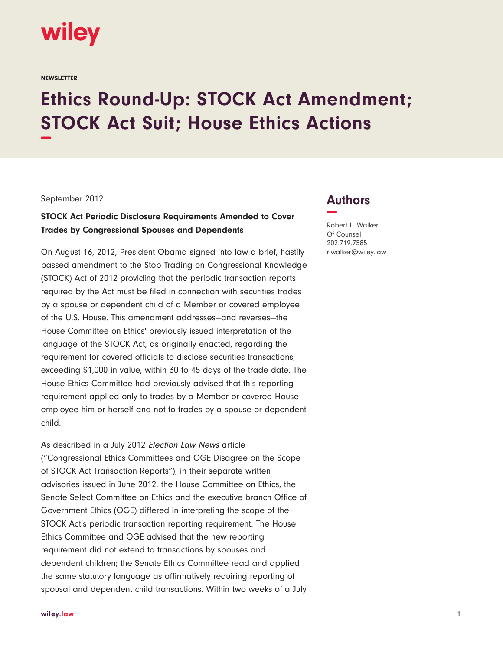

**NEWSLETTER** 

# **Ethics Round-Up: STOCK Act Amendment; STOCK Act Suit; House Ethics Actions −**

#### September 2012

## **STOCK Act Periodic Disclosure Requirements Amended to Cover Trades by Congressional Spouses and Dependents**

On August 16, 2012, President Obama signed into law a brief, hastily passed amendment to the Stop Trading on Congressional Knowledge (STOCK) Act of 2012 providing that the periodic transaction reports required by the Act must be filed in connection with securities trades by a spouse or dependent child of a Member or covered employee of the U.S. House. This amendment addresses—and reverses—the House Committee on Ethics' previously issued interpretation of the language of the STOCK Act, as originally enacted, regarding the requirement for covered officials to disclose securities transactions, exceeding \$1,000 in value, within 30 to 45 days of the trade date. The House Ethics Committee had previously advised that this reporting requirement applied only to trades by a Member or covered House employee him or herself and not to trades by a spouse or dependent child.

As described in a July 2012 Election Law News article ("Congressional Ethics Committees and OGE Disagree on the Scope of STOCK Act Transaction Reports"), in their separate written advisories issued in June 2012, the House Committee on Ethics, the Senate Select Committee on Ethics and the executive branch Office of Government Ethics (OGE) differed in interpreting the scope of the STOCK Act's periodic transaction reporting requirement. The House Ethics Committee and OGE advised that the new reporting requirement did not extend to transactions by spouses and dependent children; the Senate Ethics Committee read and applied the same statutory language as affirmatively requiring reporting of spousal and dependent child transactions. Within two weeks of a July

# **Authors −**

Robert L. Walker Of Counsel 202.719.7585 rlwalker@wiley.law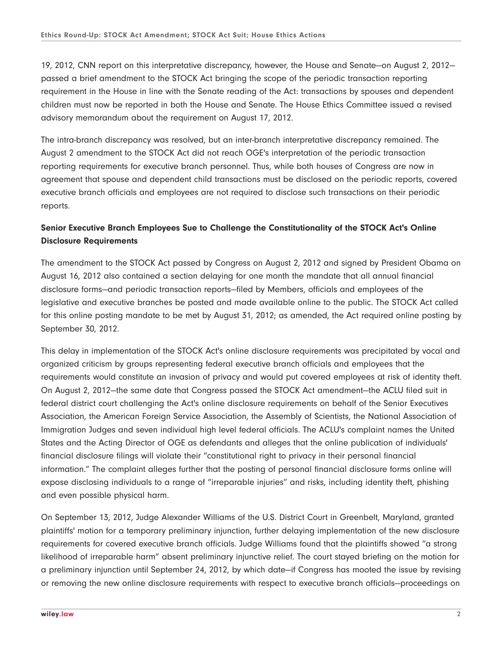19, 2012, CNN report on this interpretative discrepancy, however, the House and Senate—on August 2, 2012 passed a brief amendment to the STOCK Act bringing the scope of the periodic transaction reporting requirement in the House in line with the Senate reading of the Act: transactions by spouses and dependent children must now be reported in both the House and Senate. The House Ethics Committee issued a revised advisory memorandum about the requirement on August 17, 2012.

The intra-branch discrepancy was resolved, but an inter-branch interpretative discrepancy remained. The August 2 amendment to the STOCK Act did not reach OGE's interpretation of the periodic transaction reporting requirements for executive branch personnel. Thus, while both houses of Congress are now in agreement that spouse and dependent child transactions must be disclosed on the periodic reports, covered executive branch officials and employees are not required to disclose such transactions on their periodic reports.

## **Senior Executive Branch Employees Sue to Challenge the Constitutionality of the STOCK Act's Online Disclosure Requirements**

The amendment to the STOCK Act passed by Congress on August 2, 2012 and signed by President Obama on August 16, 2012 also contained a section delaying for one month the mandate that all annual financial disclosure forms—and periodic transaction reports—filed by Members, officials and employees of the legislative and executive branches be posted and made available online to the public. The STOCK Act called for this online posting mandate to be met by August 31, 2012; as amended, the Act required online posting by September 30, 2012.

This delay in implementation of the STOCK Act's online disclosure requirements was precipitated by vocal and organized criticism by groups representing federal executive branch officials and employees that the requirements would constitute an invasion of privacy and would put covered employees at risk of identity theft. On August 2, 2012—the same date that Congress passed the STOCK Act amendment—the ACLU filed suit in federal district court challenging the Act's online disclosure requirements on behalf of the Senior Executives Association, the American Foreign Service Association, the Assembly of Scientists, the National Association of Immigration Judges and seven individual high level federal officials. The ACLU's complaint names the United States and the Acting Director of OGE as defendants and alleges that the online publication of individuals' financial disclosure filings will violate their "constitutional right to privacy in their personal financial information." The complaint alleges further that the posting of personal financial disclosure forms online will expose disclosing individuals to a range of "irreparable injuries" and risks, including identity theft, phishing and even possible physical harm.

On September 13, 2012, Judge Alexander Williams of the U.S. District Court in Greenbelt, Maryland, granted plaintiffs' motion for a temporary preliminary injunction, further delaying implementation of the new disclosure requirements for covered executive branch officials. Judge Williams found that the plaintiffs showed "a strong likelihood of irreparable harm" absent preliminary injunctive relief. The court stayed briefing on the motion for a preliminary injunction until September 24, 2012, by which date—if Congress has mooted the issue by revising or removing the new online disclosure requirements with respect to executive branch officials—proceedings on